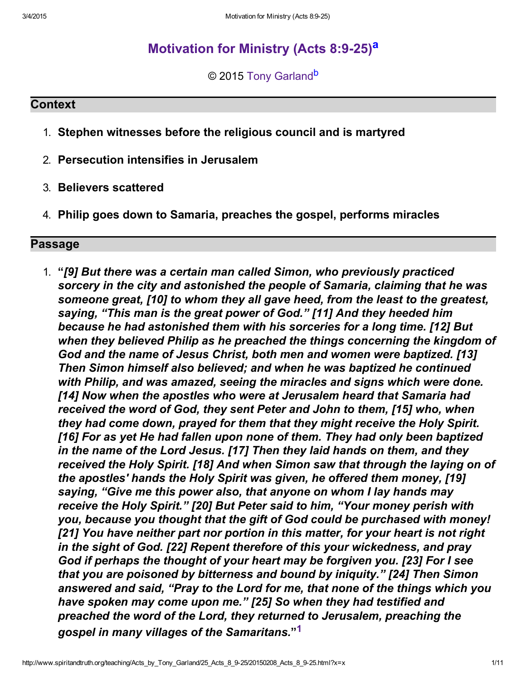# Motiv[a](#page-10-1)tion for Ministry (Acts 8:9-25)<sup>a</sup>

<span id="page-0-2"></span><span id="page-0-1"></span>© 2015 [Tony Garland](http://www.spiritandtruth.org/id/tg.htm)<sup>[b](#page-10-0)</sup>

#### **Context**

- 1. Stephen witnesses before the religious council and is martyred
- 2. Persecution intensifies in Jerusalem
- 3. Believers scattered
- 4. Philip goes down to Samaria, preaches the gospel, performs miracles

## Passage

<span id="page-0-0"></span>1. "[9] But there was a certain man called Simon, who previously practiced sorcery in the city and astonished the people of Samaria, claiming that he was someone great, [10] to whom they all gave heed, from the least to the greatest, saying, "This man is the great power of God." [11] And they heeded him because he had astonished them with his sorceries for a long time. [12] But when they believed Philip as he preached the things concerning the kingdom of God and the name of Jesus Christ, both men and women were baptized. [13] Then Simon himself also believed; and when he was baptized he continued with Philip, and was amazed, seeing the miracles and signs which were done. [14] Now when the apostles who were at Jerusalem heard that Samaria had received the word of God, they sent Peter and John to them, [15] who, when they had come down, prayed for them that they might receive the Holy Spirit. [16] For as yet He had fallen upon none of them. They had only been baptized in the name of the Lord Jesus. [17] Then they laid hands on them, and they received the Holy Spirit. [18] And when Simon saw that through the laying on of the apostles' hands the Holy Spirit was given, he offered them money, [19] saying, "Give me this power also, that anyone on whom I lay hands may receive the Holy Spirit." [20] But Peter said to him, "Your money perish with you, because you thought that the gift of God could be purchased with money! [21] You have neither part nor portion in this matter, for your heart is not right in the sight of God. [22] Repent therefore of this your wickedness, and pray God if perhaps the thought of your heart may be forgiven you. [23] For I see that you are poisoned by bitterness and bound by iniquity." [24] Then Simon answered and said, "Pray to the Lord for me, that none of the things which you have spoken may come upon me." [25] So when they had testified and preached the word of the Lord, they returned to Jerusalem, preaching the gospel in many villages of the Samaritans." [1](#page-10-2)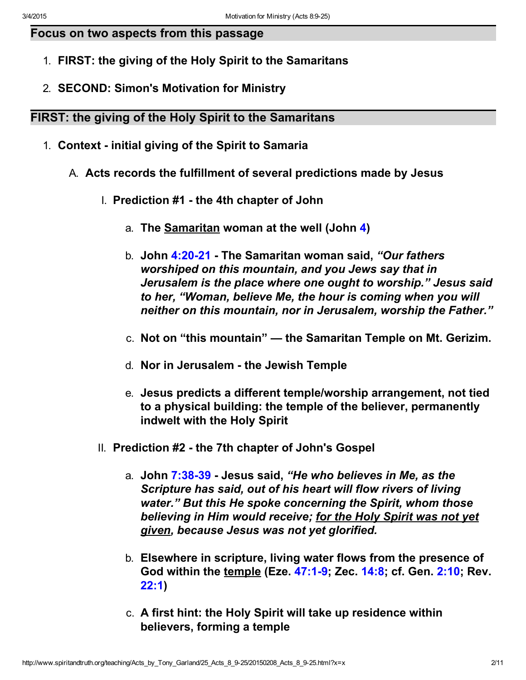## Focus on two aspects from this passage

- 1. FIRST: the giving of the Holy Spirit to the Samaritans
- 2. SECOND: Simon's Motivation for Ministry

## FIRST: the giving of the Holy Spirit to the Samaritans

- 1. Context initial giving of the Spirit to Samaria
	- A. Acts records the fulfillment of several predictions made by Jesus
		- I. Prediction #1 the 4th chapter of John
			- a. The **Samaritan woman at the well (John [4\)](http://www.spiritandtruth.org/bibles/nasb/b43c004.htm#John_C4V1)**
			- b. John 4:20-21 The Samaritan woman said, "Our fathers worshiped on this mountain, and you Jews say that in Jerusalem is the place where one ought to worship." Jesus said to her, "Woman, believe Me, the hour is coming when you will neither on this mountain, nor in Jerusalem, worship the Father."
			- c. Not on "this mountain" the Samaritan Temple on Mt. Gerizim.
			- d. Nor in Jerusalem the Jewish Temple
			- e. Jesus predicts a different temple/worship arrangement, not tied to a physical building: the temple of the believer, permanently indwelt with the Holy Spirit
		- II. Prediction #2 the 7th chapter of John's Gospel
			- a. John 7:38-39 Jesus said, "He who believes in Me, as the Scripture has said, out of his heart will flow rivers of living water." But this He spoke concerning the Spirit, whom those believing in Him would receive; for the Holy Spirit was not yet given, because Jesus was not yet glorified.
			- b. Elsewhere in scripture, living water flows from the presence of God within the temple (Eze. 47:1-9; Zec. [14:8;](http://www.spiritandtruth.org/bibles/nasb/b38c014.htm#Zec._C14V8) cf. Gen. [2:10;](http://www.spiritandtruth.org/bibles/nasb/b01c002.htm#Gen._C2V10) Rev. [22:1\)](http://www.spiritandtruth.org/bibles/nasb/b66c022.htm#Rev._C22V1)
			- c. A first hint: the Holy Spirit will take up residence within believers, forming a temple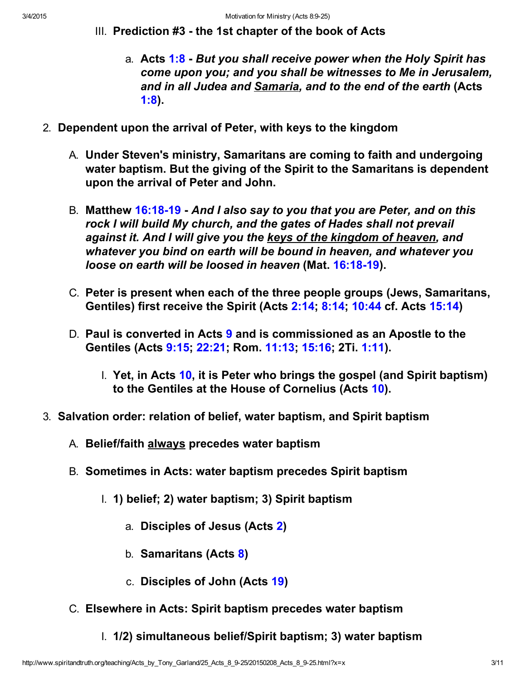- III. Prediction #3 the 1st chapter of the book of Acts
	- a. Acts [1:8](http://www.spiritandtruth.org/bibles/nasb/b44c001.htm#Acts_C1V8)  But you shall receive power when the Holy Spirit has come upon you; and you shall be witnesses to Me in Jerusalem, and in all Judea and Samaria, and to the end of the earth (Acts [1:8\)](http://www.spiritandtruth.org/bibles/nasb/b44c001.htm#Acts_C1V8).
- 2. Dependent upon the arrival of Peter, with keys to the kingdom
	- A. Under Steven's ministry, Samaritans are coming to faith and undergoing water baptism. But the giving of the Spirit to the Samaritans is dependent upon the arrival of Peter and John.
	- B. Matthew 16:18-19 And I also say to you that you are Peter, and on this rock I will build My church, and the gates of Hades shall not prevail against it. And I will give you the keys of the kingdom of heaven, and whatever you bind on earth will be bound in heaven, and whatever you loose on earth will be loosed in heaven (Mat. 16:18-19).
	- C. Peter is present when each of the three people groups (Jews, Samaritans, Gentiles) first receive the Spirit (Acts [2:14;](http://www.spiritandtruth.org/bibles/nasb/b44c002.htm#Acts_C2V14) [8:14](http://www.spiritandtruth.org/bibles/nasb/b44c008.htm#Acts_C8V14); [10:44](http://www.spiritandtruth.org/bibles/nasb/b44c010.htm#Acts_C10V44) cf. Acts [15:14\)](http://www.spiritandtruth.org/bibles/nasb/b44c015.htm#Acts_C15V14)
	- D. Paul is converted in Acts [9](http://www.spiritandtruth.org/bibles/nasb/b44c009.htm#Acts_C9V1) and is commissioned as an Apostle to the Gentiles (Acts [9:15;](http://www.spiritandtruth.org/bibles/nasb/b44c009.htm#Acts_C9V15) [22:21;](http://www.spiritandtruth.org/bibles/nasb/b44c022.htm#Acts_C22V21) Rom. [11:13;](http://www.spiritandtruth.org/bibles/nasb/b45c011.htm#Rom._C11V13) [15:16;](http://www.spiritandtruth.org/bibles/nasb/b45c015.htm#Rom._C15V16) 2Ti. [1:11\)](http://www.spiritandtruth.org/bibles/nasb/b55c001.htm#2Ti._C1V11).
		- I. Yet, in Acts [10,](http://www.spiritandtruth.org/bibles/nasb/b44c010.htm#Acts_C10V1) it is Peter who brings the gospel (and Spirit baptism) to the Gentiles at the House of Cornelius (Acts [10\)](http://www.spiritandtruth.org/bibles/nasb/b44c010.htm#Acts_C10V1).
- 3. Salvation order: relation of belief, water baptism, and Spirit baptism
	- A. Belief/faith always precedes water baptism
	- B. Sometimes in Acts: water baptism precedes Spirit baptism
		- I. 1) belief; 2) water baptism; 3) Spirit baptism
			- a. Disciples of Jesus (Acts [2\)](http://www.spiritandtruth.org/bibles/nasb/b44c002.htm#Acts_C2V1)
			- b. Samaritans (Acts [8\)](http://www.spiritandtruth.org/bibles/nasb/b44c008.htm#Acts_C8V1)
			- c. Disciples of John (Acts [19\)](http://www.spiritandtruth.org/bibles/nasb/b44c019.htm#Acts_C19V1)
	- C. Elsewhere in Acts: Spirit baptism precedes water baptism
		- I. 1/2) simultaneous belief/Spirit baptism; 3) water baptism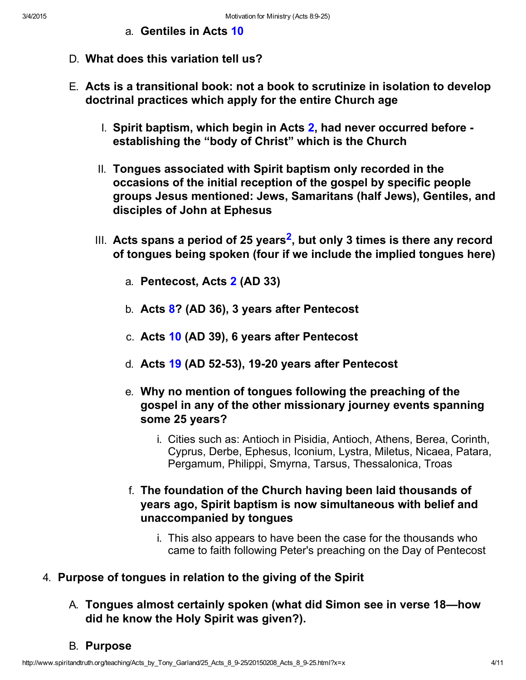- <span id="page-3-0"></span>a. Gentiles in Acts [10](http://www.spiritandtruth.org/bibles/nasb/b44c010.htm#Acts_C10V1)
- D. What does this variation tell us?
- E. Acts is a transitional book: not a book to scrutinize in isolation to develop doctrinal practices which apply for the entire Church age
	- I. Spirit baptism, which begin in Acts  $2$ , had never occurred before establishing the "body of Christ" which is the Church
	- II. Tongues associated with Spirit baptism only recorded in the occasions of the initial reception of the gospel by specific people groups Jesus mentioned: Jews, Samaritans (half Jews), Gentiles, and disciples of John at Ephesus
	- III.  $\,$  Acts spans a period of [2](#page-10-3)5 years $^{\mathsf{2}},$  but only 3 times is there any record of tongues being spoken (four if we include the implied tongues here)
		- a. Pentecost, Acts [2](http://www.spiritandtruth.org/bibles/nasb/b44c002.htm#Acts_C2V1) (AD 33)
		- b. Acts [8?](http://www.spiritandtruth.org/bibles/nasb/b44c008.htm#Acts_C8V1) (AD 36), 3 years after Pentecost
		- c. Acts [10](http://www.spiritandtruth.org/bibles/nasb/b44c010.htm#Acts_C10V1) (AD 39), 6 years after Pentecost
		- d. Acts  $19$  (AD 52-53), 19-20 years after Pentecost
		- e. Why no mention of tongues following the preaching of the gospel in any of the other missionary journey events spanning some 25 years?
			- i. Cities such as: Antioch in Pisidia, Antioch, Athens, Berea, Corinth, Cyprus, Derbe, Ephesus, Iconium, Lystra, Miletus, Nicaea, Patara, Pergamum, Philippi, Smyrna, Tarsus, Thessalonica, Troas
		- f. The foundation of the Church having been laid thousands of years ago, Spirit baptism is now simultaneous with belief and unaccompanied by tongues
			- i. This also appears to have been the case for the thousands who came to faith following Peter's preaching on the Day of Pentecost

## 4. Purpose of tongues in relation to the giving of the Spirit

A. Tongues almost certainly spoken (what did Simon see in verse 18—how did he know the Holy Spirit was given?).

## B. Purpose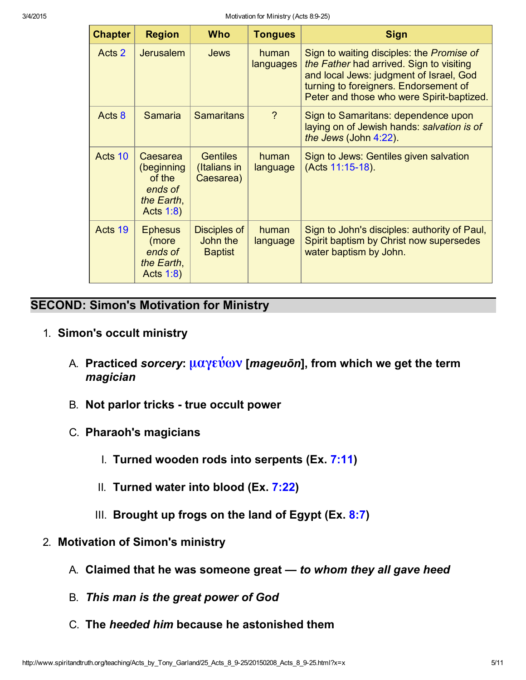| <b>Chapter</b> | <b>Region</b>                                                                 | <b>Who</b>                                        | <b>Tongues</b>     | <b>Sign</b>                                                                                                                                                                                                            |
|----------------|-------------------------------------------------------------------------------|---------------------------------------------------|--------------------|------------------------------------------------------------------------------------------------------------------------------------------------------------------------------------------------------------------------|
| Acts 2         | <b>Jerusalem</b>                                                              | <b>Jews</b>                                       | human<br>languages | Sign to waiting disciples: the Promise of<br>the Father had arrived. Sign to visiting<br>and local Jews: judgment of Israel, God<br>turning to foreigners. Endorsement of<br>Peter and those who were Spirit-baptized. |
| Acts 8         | <b>Samaria</b>                                                                | <b>Samaritans</b>                                 | $\overline{?}$     | Sign to Samaritans: dependence upon<br>laying on of Jewish hands: salvation is of<br>the Jews (John 4:22).                                                                                                             |
| Acts 10        | Caesarea<br>(beginning<br>of the<br>ends of<br>the Earth,<br><b>Acts 1:8)</b> | <b>Gentiles</b><br>(Italians in<br>Caesarea)      | human<br>language  | Sign to Jews: Gentiles given salvation<br>(Acts 11:15-18).                                                                                                                                                             |
| Acts 19        | <b>Ephesus</b><br>(more<br>ends of<br>the Earth,<br>Acts 1:8)                 | <b>Disciples of</b><br>John the<br><b>Baptist</b> | human<br>language  | Sign to John's disciples: authority of Paul,<br>Spirit baptism by Christ now supersedes<br>water baptism by John.                                                                                                      |

## SECOND: Simon's Motivation for Ministry

- 1. Simon's occult ministry
	- A. Practiced sorcery:  $\mu$ αγεύων [mageuōn], from which we get the term magician
	- B. Not parlor tricks true occult power
	- C. Pharaoh's magicians
		- I. Turned wooden rods into serpents (Ex. [7:11\)](http://www.spiritandtruth.org/bibles/nasb/b02c007.htm#Ex._C7V11)
		- II. Turned water into blood (Ex. [7:22\)](http://www.spiritandtruth.org/bibles/nasb/b02c007.htm#Ex._C7V22)
		- III. Brought up frogs on the land of Egypt ( $Ex. 8:7$ )
- 2. Motivation of Simon's ministry
	- A. Claimed that he was someone great to whom they all gave heed
	- B. This man is the great power of God
	- C. The heeded him because he astonished them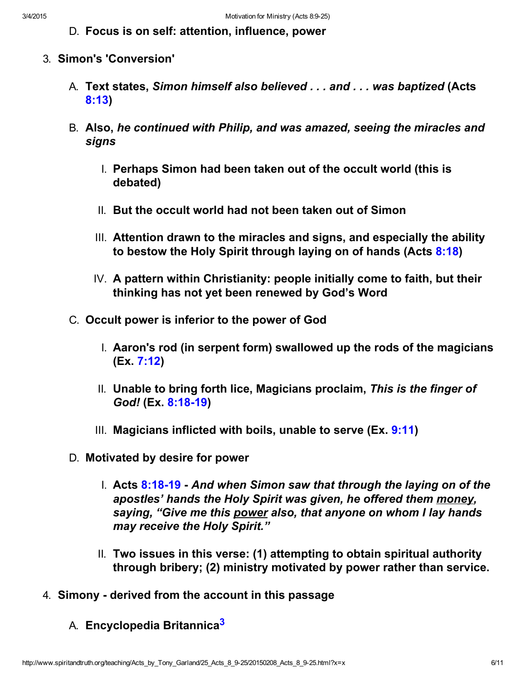D. Focus is on self: attention, influence, power

- 3. Simon's 'Conversion'
	- A. Text states, Simon himself also believed . . . and . . . was baptized (Acts [8:13\)](http://www.spiritandtruth.org/bibles/nasb/b44c008.htm#Acts_C8V13)
	- B. Also, he continued with Philip, and was amazed, seeing the miracles and signs
		- I. Perhaps Simon had been taken out of the occult world (this is debated)
		- II. But the occult world had not been taken out of Simon
		- III. Attention drawn to the miracles and signs, and especially the ability to bestow the Holy Spirit through laying on of hands (Acts [8:18](http://www.spiritandtruth.org/bibles/nasb/b44c008.htm#Acts_C8V18))
		- IV. A pattern within Christianity: people initially come to faith, but their thinking has not yet been renewed by God's Word
	- C. Occult power is inferior to the power of God
		- I. Aaron's rod (in serpent form) swallowed up the rods of the magicians (Ex. [7:12\)](http://www.spiritandtruth.org/bibles/nasb/b02c007.htm#Ex._C7V12)
		- II. Unable to bring forth lice, Magicians proclaim, This is the finger of God! (Ex. 8:18-19)
		- III. Magicians inflicted with boils, unable to serve  $(Ex, 9:11)$  $(Ex, 9:11)$
	- D. Motivated by desire for power
		- I. Acts  $8:18-19$  And when Simon saw that through the laying on of the apostles' hands the Holy Spirit was given, he offered them money, saying, "Give me this power also, that anyone on whom I lay hands may receive the Holy Spirit."
		- II. Two issues in this verse: (1) attempting to obtain spiritual authority through bribery; (2) ministry motivated by power rather than service.
- <span id="page-5-0"></span>4. Simony - derived from the account in this passage
	- A. Encyclopedia Britannica<sup>[3](#page-10-4)</sup>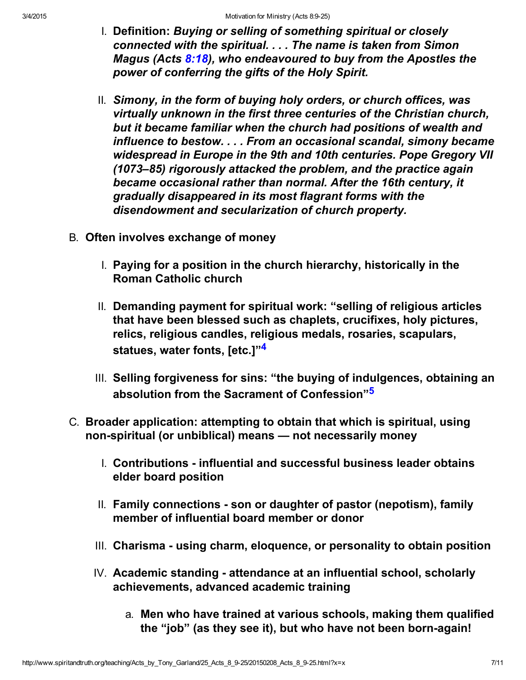- I. Definition: Buying or selling of something spiritual or closely connected with the spiritual. . . . The name is taken from Simon Magus (Acts [8:18\)](http://www.spiritandtruth.org/bibles/nasb/b44c008.htm#Acts_C8V18), who endeavoured to buy from the Apostles the power of conferring the gifts of the Holy Spirit.
- II. Simony, in the form of buying holy orders, or church offices, was virtually unknown in the first three centuries of the Christian church, but it became familiar when the church had positions of wealth and influence to bestow. . . . From an occasional scandal, simony became widespread in Europe in the 9th and 10th centuries. Pope Gregory VII (1073–85) rigorously attacked the problem, and the practice again became occasional rather than normal. After the 16th century, it gradually disappeared in its most flagrant forms with the disendowment and secularization of church property.
- B. Often involves exchange of money
	- I. Paying for a position in the church hierarchy, historically in the Roman Catholic church
	- II. Demanding payment for spiritual work: "selling of religious articles that have been blessed such as chaplets, crucifixes, holy pictures, relics, religious candles, religious medals, rosaries, scapulars, statues, water fonts, letc.1"<sup>[4](#page-10-5)</sup>
	- III. Selling forgiveness for sins: "the buying of indulgences, obtaining an absolution from the Sacrament of Confession"<sup>[5](#page-10-6)</sup>
- <span id="page-6-1"></span><span id="page-6-0"></span>C. Broader application: attempting to obtain that which is spiritual, using non-spiritual (or unbiblical) means – not necessarily money
	- I. Contributions influential and successful business leader obtains elder board position
	- II. Family connections son or daughter of pastor (nepotism), family member of influential board member or donor
	- III. Charisma using charm, eloquence, or personality to obtain position
	- $IV.$  Academic standing attendance at an influential school, scholarly achievements, advanced academic training
		- a. Men who have trained at various schools, making them qualified the "job" (as they see it), but who have not been born-again!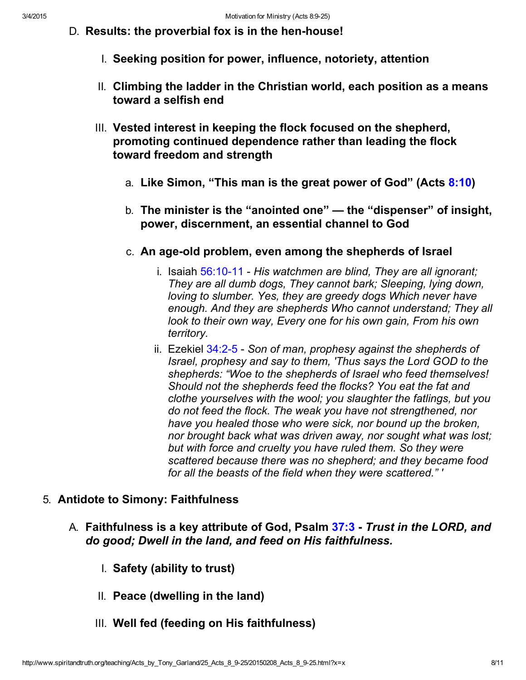- D. Results: the proverbial fox is in the hen-house!
	- I. Seeking position for power, influence, notoriety, attention
	- II. Climbing the ladder in the Christian world, each position as a means toward a selfish end
	- III. Vested interest in keeping the flock focused on the shepherd, promoting continued dependence rather than leading the flock toward freedom and strength
		- a. Like Simon, "This man is the great power of God" (Acts [8:10\)](http://www.spiritandtruth.org/bibles/nasb/b44c008.htm#Acts_C8V10)
		- b. The minister is the "anointed one" the "dispenser" of insight, power, discernment, an essential channel to God
		- c. An age-old problem, even among the shepherds of Israel
			- i. Isaiah  $56:10-11$  His watchmen are blind, They are all ignorant; They are all dumb dogs, They cannot bark; Sleeping, lying down, loving to slumber. Yes, they are greedy dogs Which never have enough. And they are shepherds Who cannot understand; They all look to their own way, Every one for his own gain, From his own territory.
			- ii. Ezekiel  $34:2-5$  Son of man, prophesy against the shepherds of Israel, prophesy and say to them, 'Thus says the Lord GOD to the shepherds: "Woe to the shepherds of Israel who feed themselves! Should not the shepherds feed the flocks? You eat the fat and clothe yourselves with the wool; you slaughter the fatlings, but you do not feed the flock. The weak you have not strengthened, nor have you healed those who were sick, nor bound up the broken, nor brought back what was driven away, nor sought what was lost; but with force and cruelty you have ruled them. So they were scattered because there was no shepherd; and they became food for all the beasts of the field when they were scattered." '

## 5. Antidote to Simony: Faithfulness

- A. Faithfulness is a key attribute of God, Psalm [37:3](http://www.spiritandtruth.org/bibles/nasb/b19c037.htm#Ps._C37V3) Trust in the LORD, and do good; Dwell in the land, and feed on His faithfulness.
	- I. Safety (ability to trust)
	- II. Peace (dwelling in the land)
	- III. Well fed (feeding on His faithfulness)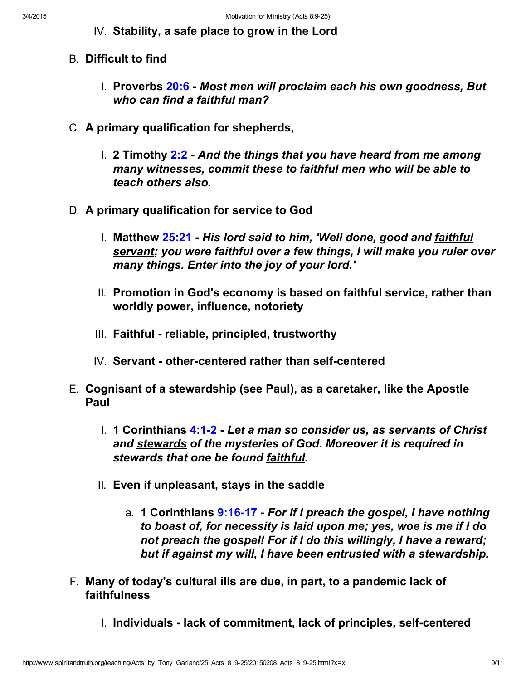- IV. Stability, a safe place to grow in the Lord
- B. Difficult to find
	- I. Proverbs [20:6](http://www.spiritandtruth.org/bibles/nasb/b20c020.htm#Pr._C20V6)  Most men will proclaim each his own goodness, But who can find a faithful man?
- C. A primary qualification for shepherds,
	- I. 2 Timothy  $2:2$  And the things that you have heard from me among many witnesses, commit these to faithful men who will be able to teach others also.
- D. A primary qualification for service to God
	- I. Matthew  $25:21$  His lord said to him, 'Well done, good and faithful servant; you were faithful over a few things, I will make you ruler over many things. Enter into the joy of your lord.'
	- II. Promotion in God's economy is based on faithful service, rather than worldly power, influence, notoriety
	- III. Faithful reliable, principled, trustworthy
	- $IV.$  Servant other-centered rather than self-centered
- E. Cognisant of a stewardship (see Paul), as a caretaker, like the Apostle Paul
	- I. 1 Corinthians 4:1-2 Let a man so consider us, as servants of Christ and stewards of the mysteries of God. Moreover it is required in stewards that one be found faithful.
	- II. Even if unpleasant, stays in the saddle
		- a. 1 Corinthians 9:16-17 For if I preach the gospel, I have nothing to boast of, for necessity is laid upon me; yes, woe is me if I do not preach the gospel! For if I do this willingly, I have a reward; but if against my will, I have been entrusted with a stewardship.
- F. Many of today's cultural ills are due, in part, to a pandemic lack of faithfulness
	- I. Individuals lack of commitment, lack of principles, self-centered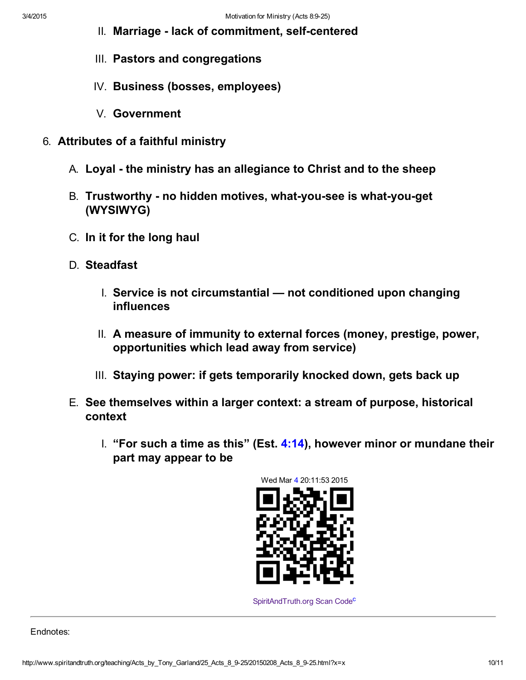- II. Marriage lack of commitment, self-centered
- III. Pastors and congregations
- IV. Business (bosses, employees)
- V. Government
- 6. Attributes of a faithful ministry
	- A. Loyal the ministry has an allegiance to Christ and to the sheep
	- B. Trustworthy no hidden motives, what-you-see is what-you-get (WYSIWYG)
	- C. In it for the long haul
	- D. Steadfast
		- I. Service is not circumstantial not conditioned upon changing influences
		- II. A measure of immunity to external forces (money, prestige, power, opportunities which lead away from service)
		- III. Staying power: if gets temporarily knocked down, gets back up
	- E. See themselves within a larger context: a stream of purpose, historical context
		- I. "For such a time as this" (Est. [4:14\)](http://www.spiritandtruth.org/bibles/nasb/b17c004.htm#Est._C4V14), however minor or mundane their part may appear to be



<span id="page-9-0"></span>[SpiritAndTruth.org Scan Code](http://www.spiritandtruth.org/)<sup>[c](#page-10-7)</sup>

Endnotes: